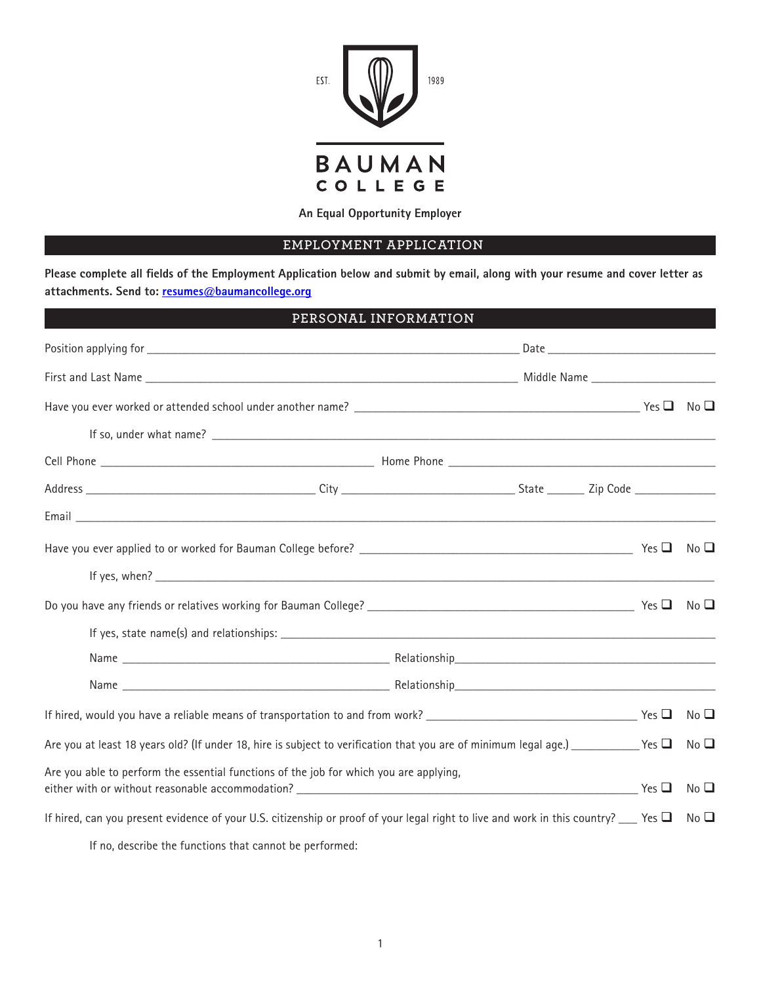

**An Equal Opportunity Employer**

## **EMPLOYMENT APPLICATION**

**Please complete all fields of the Employment Application below and submit by email, along with your resume and cover letter as attachments. Send to: resumes@baumancollege.org**

| PERSONAL INFORMATION                                                                                                                         |  |  |                                    |
|----------------------------------------------------------------------------------------------------------------------------------------------|--|--|------------------------------------|
|                                                                                                                                              |  |  |                                    |
|                                                                                                                                              |  |  |                                    |
|                                                                                                                                              |  |  |                                    |
|                                                                                                                                              |  |  |                                    |
|                                                                                                                                              |  |  |                                    |
|                                                                                                                                              |  |  |                                    |
|                                                                                                                                              |  |  |                                    |
|                                                                                                                                              |  |  | No <b>❑</b>                        |
|                                                                                                                                              |  |  |                                    |
|                                                                                                                                              |  |  |                                    |
|                                                                                                                                              |  |  |                                    |
|                                                                                                                                              |  |  |                                    |
|                                                                                                                                              |  |  |                                    |
|                                                                                                                                              |  |  | $\overline{\phantom{a}}$ No $\Box$ |
| Are you at least 18 years old? (If under 18, hire is subject to verification that you are of minimum legal age.) _______________Yes          |  |  | No <sub>Q</sub>                    |
| Are you able to perform the essential functions of the job for which you are applying,                                                       |  |  | No <sub>Q</sub>                    |
| If hired, can you present evidence of your U.S. citizenship or proof of your legal right to live and work in this country? $\Box$ Yes $\Box$ |  |  | No <b>❑</b>                        |

If no, describe the functions that cannot be performed: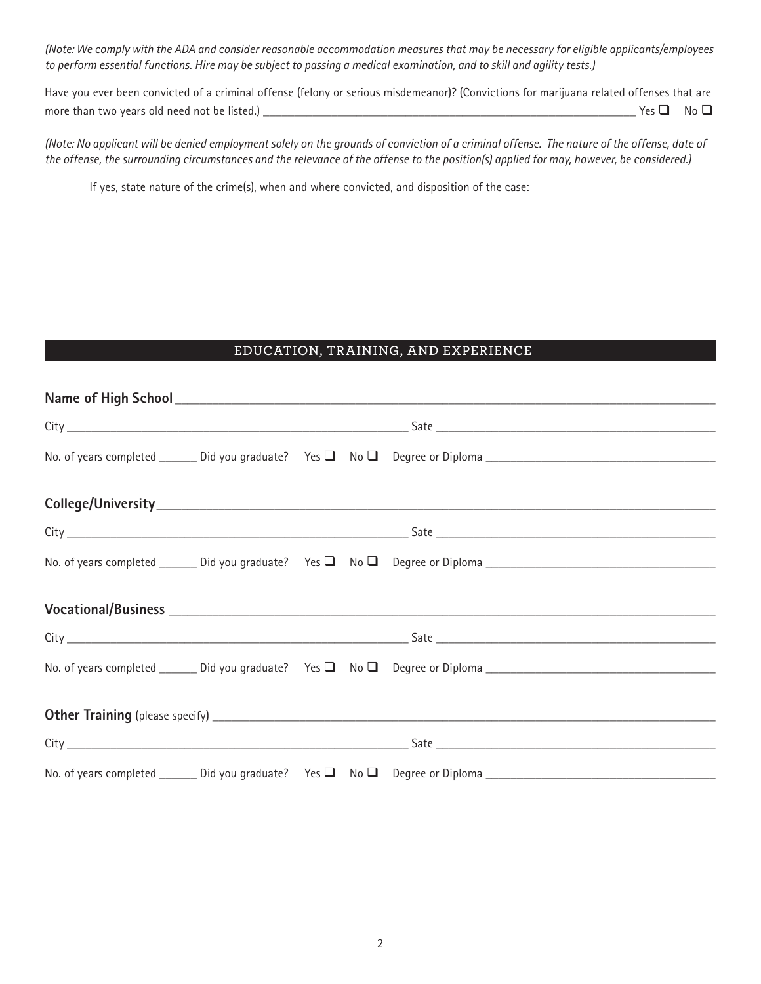*(Note: We comply with the ADA and consider reasonable accommodation measures that may be necessary for eligible applicants/employees to perform essential functions. Hire may be subject to passing a medical examination, and to skill and agility tests.)*

Have you ever been convicted of a criminal offense (felony or serious misdemeanor)? (Convictions for marijuana related offenses that are more than two years old need not be listed.) \_\_\_\_\_\_\_\_\_\_\_\_\_\_\_\_\_\_\_\_\_\_\_\_\_\_\_\_\_\_\_\_\_\_\_\_\_\_\_\_\_\_\_\_\_\_\_\_\_\_\_\_\_\_\_\_\_\_\_\_ Yes No

*(Note: No applicant will be denied employment solely on the grounds of conviction of a criminal offense. The nature of the offense, date of the offense, the surrounding circumstances and the relevance of the offense to the position(s) applied for may, however, be considered.)*

If yes, state nature of the crime(s), when and where convicted, and disposition of the case:

### **EDUCATION, TRAINING, AND EXPERIENCE**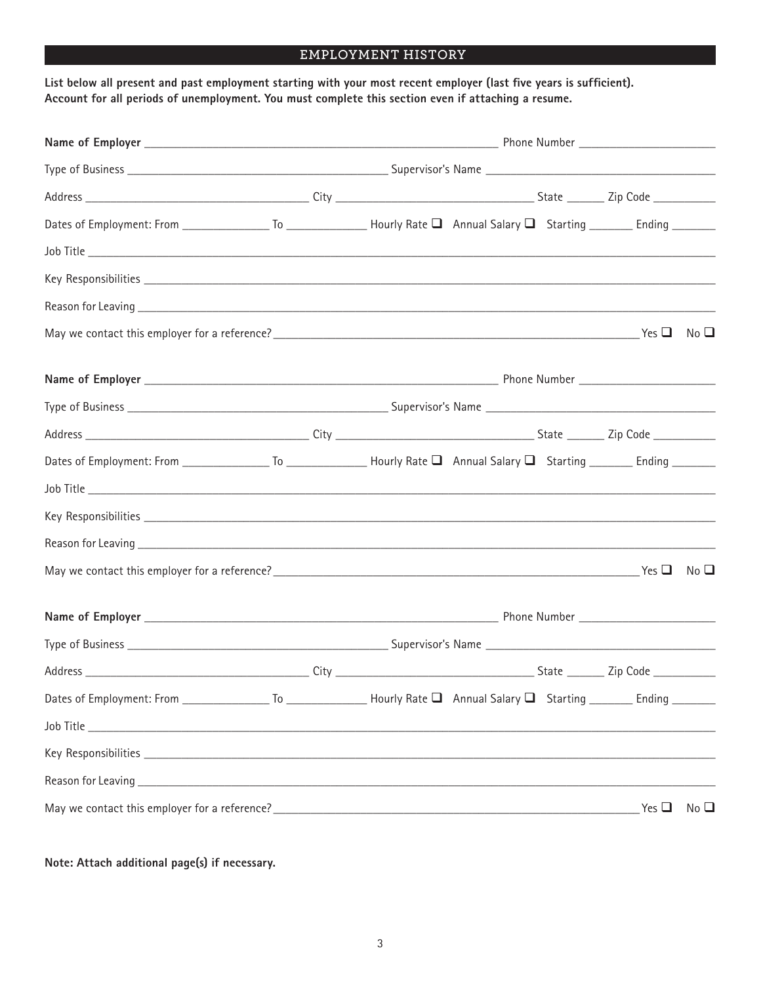# **EMPLOYMENT HISTORY**

**List below all present and past employment starting with your most recent employer (last five years is sufficient). Account for all periods of unemployment. You must complete this section even if attaching a resume.**

|  |  | Yes $\square$ | $No$ $\square$ |
|--|--|---------------|----------------|

**Note: Attach additional page(s) if necessary.**